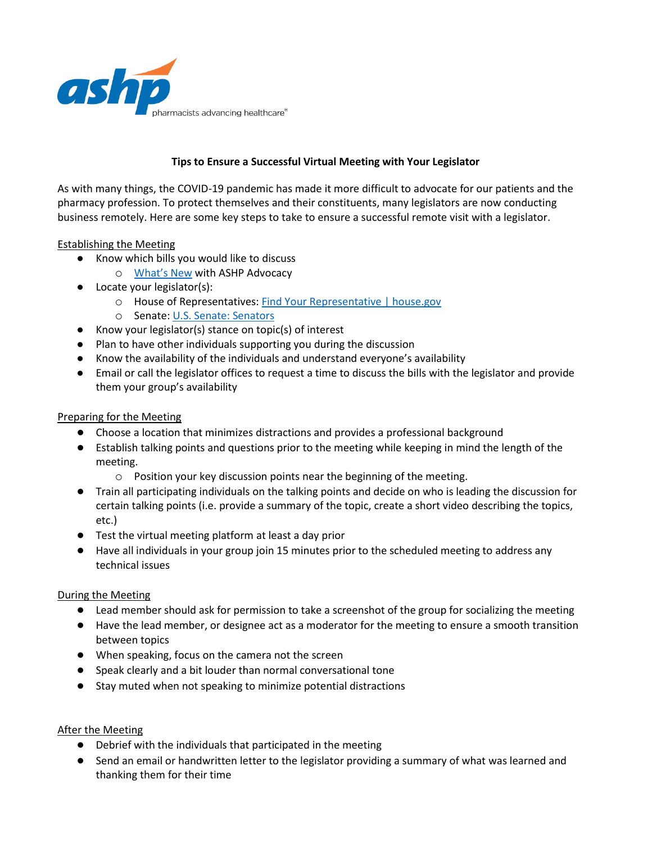

# **Tips to Ensure a Successful Virtual Meeting with Your Legislator**

As with many things, the COVID-19 pandemic has made it more difficult to advocate for our patients and the pharmacy profession. To protect themselves and their constituents, many legislators are now conducting business remotely. Here are some key steps to take to ensure a successful remote visit with a legislator.

## Establishing the Meeting

- Know which bills you would like to discuss
	- o [What's New](https://www.ashp.org/Advocacy-and-Issues/Whats-New) with ASHP Advocacy
- Locate your legislator(s):
	- o House of Representatives: [Find Your Representative | house.gov](https://www.house.gov/representatives/find-your-representative)
	- o Senate: [U.S. Senate: Senators](https://www.senate.gov/senators/index.htm)
- Know your legislator(s) stance on topic(s) of interest
- Plan to have other individuals supporting you during the discussion
- Know the availability of the individuals and understand everyone's availability
- Email or call the legislator offices to request a time to discuss the bills with the legislator and provide them your group's availability

## Preparing for the Meeting

- Choose a location that minimizes distractions and provides a professional background
- Establish talking points and questions prior to the meeting while keeping in mind the length of the meeting.
	- o Position your key discussion points near the beginning of the meeting.
- Train all participating individuals on the talking points and decide on who is leading the discussion for certain talking points (i.e. provide a summary of the topic, create a short video describing the topics, etc.)
- Test the virtual meeting platform at least a day prior
- Have all individuals in your group join 15 minutes prior to the scheduled meeting to address any technical issues

#### During the Meeting

- Lead member should ask for permission to take a screenshot of the group for socializing the meeting
- Have the lead member, or designee act as a moderator for the meeting to ensure a smooth transition between topics
- When speaking, focus on the camera not the screen
- Speak clearly and a bit louder than normal conversational tone
- Stay muted when not speaking to minimize potential distractions

## After the Meeting

- Debrief with the individuals that participated in the meeting
- Send an email or handwritten letter to the legislator providing a summary of what was learned and thanking them for their time